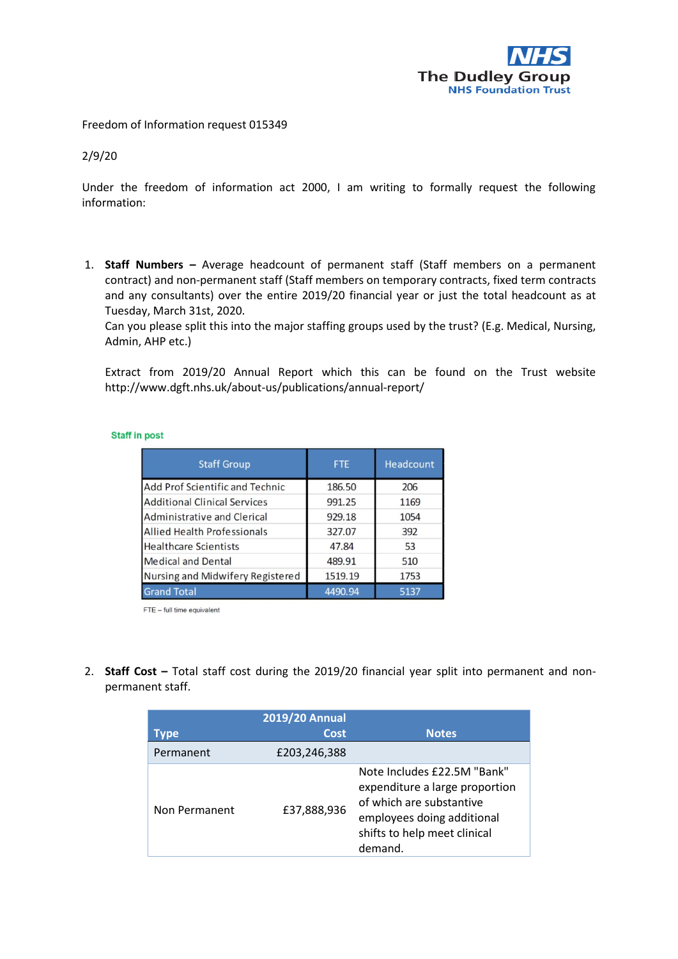

Freedom of Information request 015349

## 2/9/20

Under the freedom of information act 2000, I am writing to formally request the following information:

1. **Staff Numbers –** Average headcount of permanent staff (Staff members on a permanent contract) and non-permanent staff (Staff members on temporary contracts, fixed term contracts and any consultants) over the entire 2019/20 financial year or just the total headcount as at Tuesday, March 31st, 2020.

Can you please split this into the major staffing groups used by the trust? (E.g. Medical, Nursing, Admin, AHP etc.)

Extract from 2019/20 Annual Report which this can be found on the Trust website http://www.dgft.nhs.uk/about-us/publications/annual-report/

| <b>Staff Group</b>                 | <b>FTE</b> | Headcount |
|------------------------------------|------------|-----------|
| Add Prof Scientific and Technic    | 186.50     | 206       |
| Additional Clinical Services       | 991.25     | 1169      |
| Administrative and Clerical        | 929.18     | 1054      |
| <b>Allied Health Professionals</b> | 327.07     | 392       |
| Healthcare Scientists              | 47.84      | 53        |
| Medical and Dental                 | 489.91     | 510       |
| Nursing and Midwifery Registered   | 1519.19    | 1753      |
| <b>Grand Total</b>                 | 4490.94    | 5137      |

**Staff in post** 

FTE - full time equivalent

2. **Staff Cost –** Total staff cost during the 2019/20 financial year split into permanent and nonpermanent staff.

| vpe           | <b>2019/20 Annual</b><br>Cost | <b>Notes</b>                                                                                                                                                       |
|---------------|-------------------------------|--------------------------------------------------------------------------------------------------------------------------------------------------------------------|
| Permanent     | £203,246,388                  |                                                                                                                                                                    |
| Non Permanent | £37,888,936                   | Note Includes £22.5M "Bank"<br>expenditure a large proportion<br>of which are substantive<br>employees doing additional<br>shifts to help meet clinical<br>demand. |